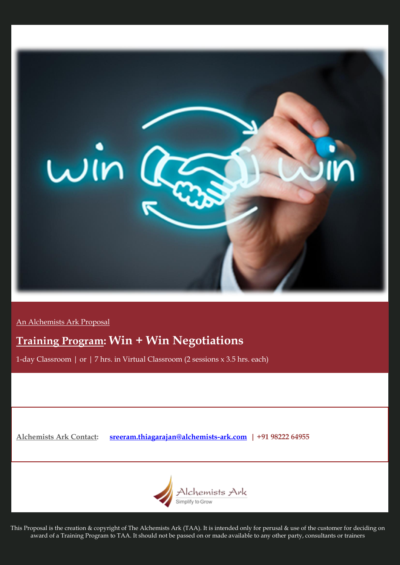

An Alchemists Ark Proposal

# **Training Program: Win + Win Negotiations**

1-day Classroom | or | 7 hrs. in Virtual Classroom (2 sessions x 3.5 hrs. each)

**Alchemists Ark Contact: [sreeram.thiagarajan@alchemists-ark.com](mailto:sreeram.thiagarajan@alchemists-ark.com) | +91 98222 64955**



This Proposal is the creation & copyright of The Alchemists Ark (TAA). It is intended only for perusal & use of the customer for deciding on award of a Training Program to TAA. It should not be passed on or made available to any other party, consultants or trainers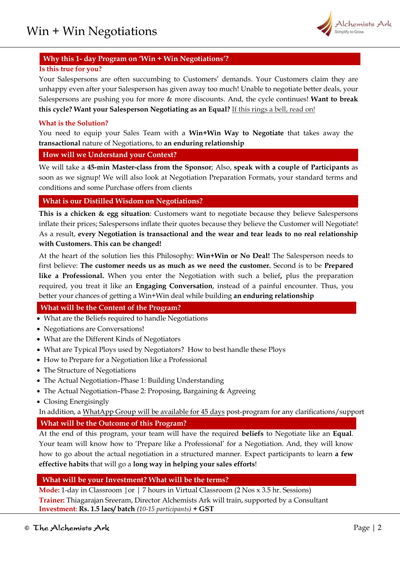

## **Why this 1- day Program on 'Win + Win Negotiations'?**

## **Is this true for you?**

Your Salespersons are often succumbing to Customers' demands. Your Customers claim they are unhappy even after your Salesperson has given away too much! Unable to negotiate better deals, your Salespersons are pushing you for more & more discounts. And, the cycle continues! **Want to break this cycle? Want your Salesperson Negotiating as an Equal?** If this rings a bell, read on!

## **What is the Solution?**

You need to equip your Sales Team with a **Win+Win Way to Negotiate** that takes away the **transactional** nature of Negotiations, to **an enduring relationship** 

## **How will we Understand your Context?**

We will take a **45-min Master-class from the Sponsor**; Also, **speak with a couple of Participants** as soon as we signup! We will also look at Negotiation Preparation Formats, your standard terms and conditions and some Purchase offers from clients

## **What is our Distilled Wisdom on Negotiations?**

**This is a chicken & egg situation**: Customers want to negotiate because they believe Salespersons inflate their prices; Salespersons inflate their quotes because they believe the Customer will Negotiate! As a result, **every Negotiation is transactional and the wear and tear leads to no real relationship with Customers. This can be changed!**

At the heart of the solution lies this Philosophy: **Win+Win or No Deal!** The Salesperson needs to first believe: **The customer needs us as much as we need the customer.** Second is to be **Prepared like a Professional.** When you enter the Negotiation with such a belief**,** plus the preparation required, you treat it like an **Engaging Conversation**, instead of a painful encounter. Thus, you better your chances of getting a Win+Win deal while building **an enduring relationship**

## **What will be the Content of the Program?**

- What are the Beliefs required to handle Negotiations
- Negotiations are Conversations!
- What are the Different Kinds of Negotiators
- What are Typical Ploys used by Negotiators? How to best handle these Ploys
- How to Prepare for a Negotiation like a Professional
- The Structure of Negotiations
- The Actual Negotiation–Phase 1: Building Understanding
- The Actual Negotiation–Phase 2: Proposing, Bargaining & Agreeing
- Closing Energisingly

In addition, a WhatApp Group will be available for 45 days post-program for any clarifications/support **What will be the Outcome of this Program?**

At the end of this program, your team will have the required **beliefs** to Negotiate like an **Equal**. Your team will know how to 'Prepare like a Professional' for a Negotiation. And, they will know how to go about the actual negotiation in a structured manner. Expect participants to learn **a few effective habits** that will go a **long way in helping your sales efforts**!

## **What will be your Investment? What will be the terms?**

**Mode:** 1-day in Classroom |or | 7 hours in Virtual Classroom (2 Nos x 3.5 hr. Sessions) **Trainer:** Thiagarajan Sreeram, Director Alchemists Ark will train, supported by a Consultant **Investment**: **Rs. 1.5 lacs/ batch** *(10-15 participants)* **+ GST**